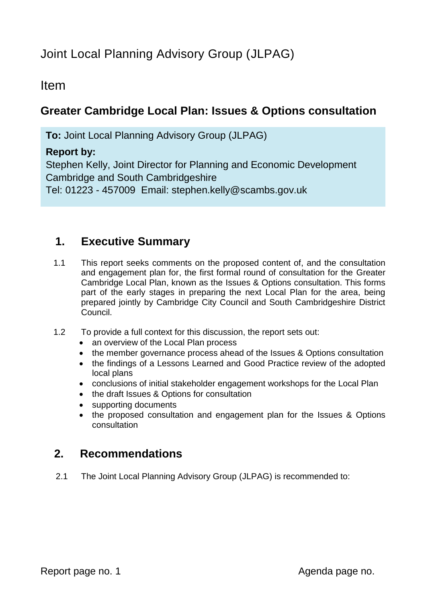# Joint Local Planning Advisory Group (JLPAG)

## Item

## **Greater Cambridge Local Plan: Issues & Options consultation**

**To:** Joint Local Planning Advisory Group (JLPAG)

## **Report by:**

Stephen Kelly, Joint Director for Planning and Economic Development Cambridge and South Cambridgeshire Tel: 01223 - 457009 Email: stephen.kelly@scambs.gov.uk

## **1. Executive Summary**

- 1.1 This report seeks comments on the proposed content of, and the consultation and engagement plan for, the first formal round of consultation for the Greater Cambridge Local Plan, known as the Issues & Options consultation. This forms part of the early stages in preparing the next Local Plan for the area, being prepared jointly by Cambridge City Council and South Cambridgeshire District Council.
- 1.2 To provide a full context for this discussion, the report sets out:
	- an overview of the Local Plan process
	- the member governance process ahead of the Issues & Options consultation
	- the findings of a Lessons Learned and Good Practice review of the adopted local plans
	- conclusions of initial stakeholder engagement workshops for the Local Plan
	- the draft Issues & Options for consultation
	- supporting documents
	- the proposed consultation and engagement plan for the Issues & Options consultation

# **2. Recommendations**

2.1 The Joint Local Planning Advisory Group (JLPAG) is recommended to: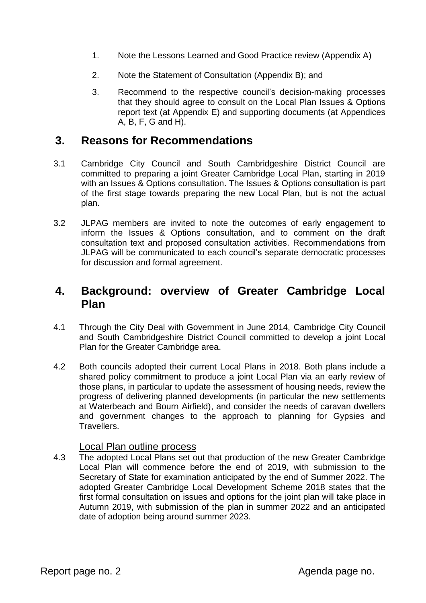- 1. Note the Lessons Learned and Good Practice review (Appendix A)
- 2. Note the Statement of Consultation (Appendix B); and
- 3. Recommend to the respective council's decision-making processes that they should agree to consult on the Local Plan Issues & Options report text (at Appendix E) and supporting documents (at Appendices A, B, F, G and H).

## **3. Reasons for Recommendations**

- 3.1 Cambridge City Council and South Cambridgeshire District Council are committed to preparing a joint Greater Cambridge Local Plan, starting in 2019 with an Issues & Options consultation. The Issues & Options consultation is part of the first stage towards preparing the new Local Plan, but is not the actual plan.
- 3.2 JLPAG members are invited to note the outcomes of early engagement to inform the Issues & Options consultation, and to comment on the draft consultation text and proposed consultation activities. Recommendations from JLPAG will be communicated to each council's separate democratic processes for discussion and formal agreement.

## **4. Background: overview of Greater Cambridge Local Plan**

- 4.1 Through the City Deal with Government in June 2014, Cambridge City Council and South Cambridgeshire District Council committed to develop a joint Local Plan for the Greater Cambridge area.
- 4.2 Both councils adopted their current Local Plans in 2018. Both plans include a shared policy commitment to produce a joint Local Plan via an early review of those plans, in particular to update the assessment of housing needs, review the progress of delivering planned developments (in particular the new settlements at Waterbeach and Bourn Airfield), and consider the needs of caravan dwellers and government changes to the approach to planning for Gypsies and Travellers.

#### Local Plan outline process

4.3 The adopted Local Plans set out that production of the new Greater Cambridge Local Plan will commence before the end of 2019, with submission to the Secretary of State for examination anticipated by the end of Summer 2022. The adopted Greater Cambridge Local Development Scheme 2018 states that the first formal consultation on issues and options for the joint plan will take place in Autumn 2019, with submission of the plan in summer 2022 and an anticipated date of adoption being around summer 2023.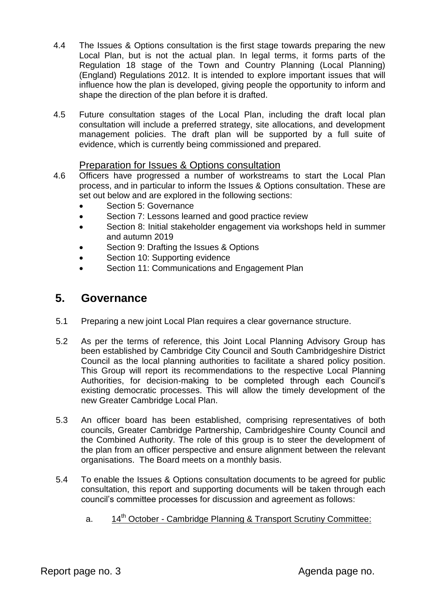- 4.4 The Issues & Options consultation is the first stage towards preparing the new Local Plan, but is not the actual plan. In legal terms, it forms parts of the Regulation 18 stage of the Town and Country Planning (Local Planning) (England) Regulations 2012. It is intended to explore important issues that will influence how the plan is developed, giving people the opportunity to inform and shape the direction of the plan before it is drafted.
- 4.5 Future consultation stages of the Local Plan, including the draft local plan consultation will include a preferred strategy, site allocations, and development management policies. The draft plan will be supported by a full suite of evidence, which is currently being commissioned and prepared.

### Preparation for Issues & Options consultation

- 4.6 Officers have progressed a number of workstreams to start the Local Plan process, and in particular to inform the Issues & Options consultation. These are set out below and are explored in the following sections:
	- Section 5: Governance
	- **Section 7: Lessons learned and good practice review**
	- Section 8: Initial stakeholder engagement via workshops held in summer and autumn 2019
	- Section 9: Drafting the Issues & Options
	- Section 10: Supporting evidence
	- Section 11: Communications and Engagement Plan

## **5. Governance**

- 5.1 Preparing a new joint Local Plan requires a clear governance structure.
- 5.2 As per the terms of reference, this Joint Local Planning Advisory Group has been established by Cambridge City Council and South Cambridgeshire District Council as the local planning authorities to facilitate a shared policy position. This Group will report its recommendations to the respective Local Planning Authorities, for decision-making to be completed through each Council's existing democratic processes. This will allow the timely development of the new Greater Cambridge Local Plan.
- 5.3 An officer board has been established, comprising representatives of both councils, Greater Cambridge Partnership, Cambridgeshire County Council and the Combined Authority. The role of this group is to steer the development of the plan from an officer perspective and ensure alignment between the relevant organisations. The Board meets on a monthly basis.
- 5.4 To enable the Issues & Options consultation documents to be agreed for public consultation, this report and supporting documents will be taken through each council's committee processes for discussion and agreement as follows:
	- a. 14<sup>th</sup> October Cambridge Planning & Transport Scrutiny Committee: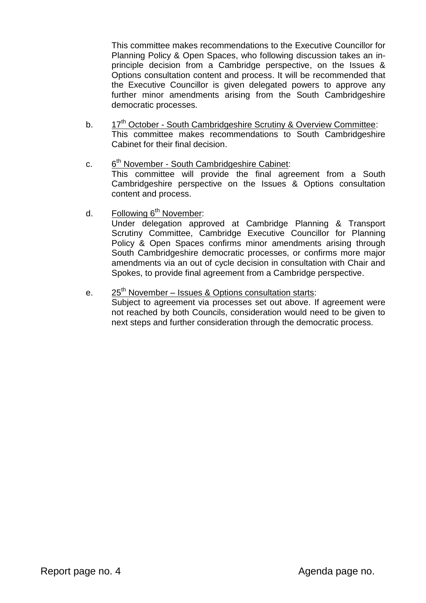This committee makes recommendations to the Executive Councillor for Planning Policy & Open Spaces, who following discussion takes an inprinciple decision from a Cambridge perspective, on the Issues & Options consultation content and process. It will be recommended that the Executive Councillor is given delegated powers to approve any further minor amendments arising from the South Cambridgeshire democratic processes.

- b. 17<sup>th</sup> October South Cambridgeshire Scrutiny & Overview Committee: This committee makes recommendations to South Cambridgeshire Cabinet for their final decision.
- $C<sub>r</sub>$ 6<sup>th</sup> November - South Cambridgeshire Cabinet: This committee will provide the final agreement from a South Cambridgeshire perspective on the Issues & Options consultation content and process.
- d. Following  $6<sup>th</sup>$  November:

Under delegation approved at Cambridge Planning & Transport Scrutiny Committee, Cambridge Executive Councillor for Planning Policy & Open Spaces confirms minor amendments arising through South Cambridgeshire democratic processes, or confirms more major amendments via an out of cycle decision in consultation with Chair and Spokes, to provide final agreement from a Cambridge perspective.

e. 25<sup>th</sup> November – Issues & Options consultation starts:

Subject to agreement via processes set out above. If agreement were not reached by both Councils, consideration would need to be given to next steps and further consideration through the democratic process.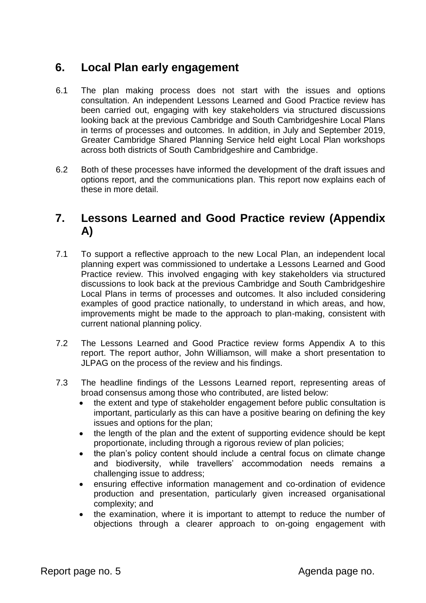## **6. Local Plan early engagement**

- 6.1 The plan making process does not start with the issues and options consultation. An independent Lessons Learned and Good Practice review has been carried out, engaging with key stakeholders via structured discussions looking back at the previous Cambridge and South Cambridgeshire Local Plans in terms of processes and outcomes. In addition, in July and September 2019, Greater Cambridge Shared Planning Service held eight Local Plan workshops across both districts of South Cambridgeshire and Cambridge.
- 6.2 Both of these processes have informed the development of the draft issues and options report, and the communications plan. This report now explains each of these in more detail.

## **7. Lessons Learned and Good Practice review (Appendix A)**

- 7.1 To support a reflective approach to the new Local Plan, an independent local planning expert was commissioned to undertake a Lessons Learned and Good Practice review. This involved engaging with key stakeholders via structured discussions to look back at the previous Cambridge and South Cambridgeshire Local Plans in terms of processes and outcomes. It also included considering examples of good practice nationally, to understand in which areas, and how, improvements might be made to the approach to plan-making, consistent with current national planning policy.
- 7.2 The Lessons Learned and Good Practice review forms Appendix A to this report. The report author, John Williamson, will make a short presentation to JLPAG on the process of the review and his findings.
- 7.3 The headline findings of the Lessons Learned report, representing areas of broad consensus among those who contributed, are listed below:
	- the extent and type of stakeholder engagement before public consultation is important, particularly as this can have a positive bearing on defining the key issues and options for the plan;
	- the length of the plan and the extent of supporting evidence should be kept proportionate, including through a rigorous review of plan policies;
	- the plan's policy content should include a central focus on climate change and biodiversity, while travellers' accommodation needs remains a challenging issue to address;
	- ensuring effective information management and co-ordination of evidence production and presentation, particularly given increased organisational complexity; and
	- the examination, where it is important to attempt to reduce the number of objections through a clearer approach to on-going engagement with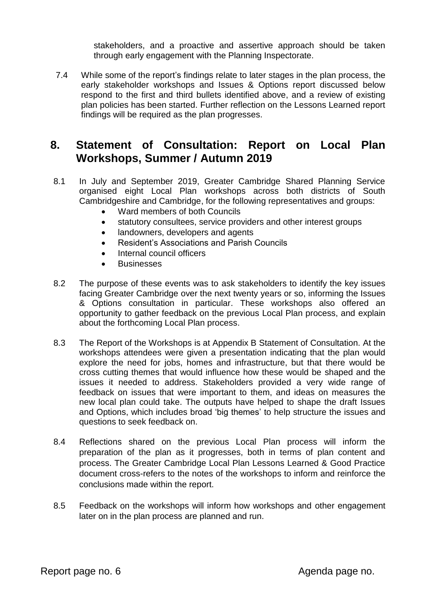stakeholders, and a proactive and assertive approach should be taken through early engagement with the Planning Inspectorate.

7.4 While some of the report's findings relate to later stages in the plan process, the early stakeholder workshops and Issues & Options report discussed below respond to the first and third bullets identified above, and a review of existing plan policies has been started. Further reflection on the Lessons Learned report findings will be required as the plan progresses.

## **8. Statement of Consultation: Report on Local Plan Workshops, Summer / Autumn 2019**

- 8.1 In July and September 2019, Greater Cambridge Shared Planning Service organised eight Local Plan workshops across both districts of South Cambridgeshire and Cambridge, for the following representatives and groups:
	- Ward members of both Councils
	- statutory consultees, service providers and other interest groups
	- landowners, developers and agents
	- Resident's Associations and Parish Councils
	- Internal council officers
	- **Businesses**
- 8.2 The purpose of these events was to ask stakeholders to identify the key issues facing Greater Cambridge over the next twenty years or so, informing the Issues & Options consultation in particular. These workshops also offered an opportunity to gather feedback on the previous Local Plan process, and explain about the forthcoming Local Plan process.
- 8.3 The Report of the Workshops is at Appendix B Statement of Consultation. At the workshops attendees were given a presentation indicating that the plan would explore the need for jobs, homes and infrastructure, but that there would be cross cutting themes that would influence how these would be shaped and the issues it needed to address. Stakeholders provided a very wide range of feedback on issues that were important to them, and ideas on measures the new local plan could take. The outputs have helped to shape the draft Issues and Options, which includes broad 'big themes' to help structure the issues and questions to seek feedback on.
- 8.4 Reflections shared on the previous Local Plan process will inform the preparation of the plan as it progresses, both in terms of plan content and process. The Greater Cambridge Local Plan Lessons Learned & Good Practice document cross-refers to the notes of the workshops to inform and reinforce the conclusions made within the report.
- 8.5 Feedback on the workshops will inform how workshops and other engagement later on in the plan process are planned and run.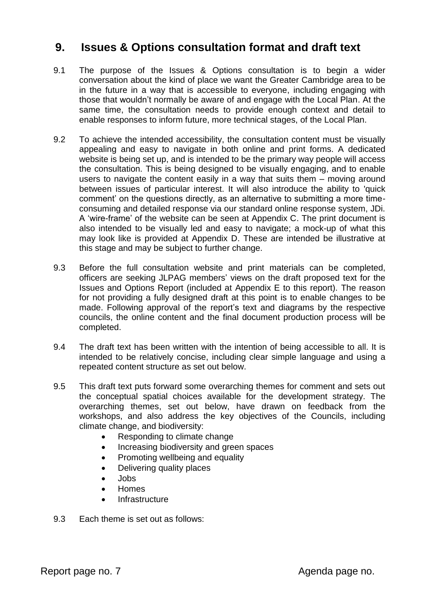## **9. Issues & Options consultation format and draft text**

- 9.1 The purpose of the Issues & Options consultation is to begin a wider conversation about the kind of place we want the Greater Cambridge area to be in the future in a way that is accessible to everyone, including engaging with those that wouldn't normally be aware of and engage with the Local Plan. At the same time, the consultation needs to provide enough context and detail to enable responses to inform future, more technical stages, of the Local Plan.
- 9.2 To achieve the intended accessibility, the consultation content must be visually appealing and easy to navigate in both online and print forms. A dedicated website is being set up, and is intended to be the primary way people will access the consultation. This is being designed to be visually engaging, and to enable users to navigate the content easily in a way that suits them – moving around between issues of particular interest. It will also introduce the ability to 'quick comment' on the questions directly, as an alternative to submitting a more timeconsuming and detailed response via our standard online response system, JDi. A 'wire-frame' of the website can be seen at Appendix C. The print document is also intended to be visually led and easy to navigate; a mock-up of what this may look like is provided at Appendix D. These are intended be illustrative at this stage and may be subject to further change.
- 9.3 Before the full consultation website and print materials can be completed, officers are seeking JLPAG members' views on the draft proposed text for the Issues and Options Report (included at Appendix E to this report). The reason for not providing a fully designed draft at this point is to enable changes to be made. Following approval of the report's text and diagrams by the respective councils, the online content and the final document production process will be completed.
- 9.4 The draft text has been written with the intention of being accessible to all. It is intended to be relatively concise, including clear simple language and using a repeated content structure as set out below.
- 9.5 This draft text puts forward some overarching themes for comment and sets out the conceptual spatial choices available for the development strategy. The overarching themes, set out below, have drawn on feedback from the workshops, and also address the key objectives of the Councils, including climate change, and biodiversity:
	- Responding to climate change
	- Increasing biodiversity and green spaces
	- Promoting wellbeing and equality
	- Delivering quality places
	- Jobs
	- Homes
	- **Infrastructure**
- 9.3 Each theme is set out as follows: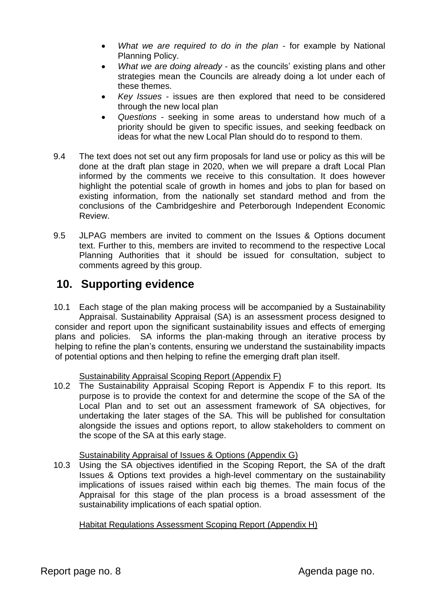- *What we are required to do in the plan* for example by National Planning Policy.
- *What we are doing already* as the councils' existing plans and other strategies mean the Councils are already doing a lot under each of these themes.
- *Key Issues* issues are then explored that need to be considered through the new local plan
- *Questions* seeking in some areas to understand how much of a priority should be given to specific issues, and seeking feedback on ideas for what the new Local Plan should do to respond to them.
- 9.4 The text does not set out any firm proposals for land use or policy as this will be done at the draft plan stage in 2020, when we will prepare a draft Local Plan informed by the comments we receive to this consultation. It does however highlight the potential scale of growth in homes and jobs to plan for based on existing information, from the nationally set standard method and from the conclusions of the Cambridgeshire and Peterborough Independent Economic Review.
- 9.5 JLPAG members are invited to comment on the Issues & Options document text. Further to this, members are invited to recommend to the respective Local Planning Authorities that it should be issued for consultation, subject to comments agreed by this group.

# **10. Supporting evidence**

10.1 Each stage of the plan making process will be accompanied by a Sustainability Appraisal. Sustainability Appraisal (SA) is an assessment process designed to consider and report upon the significant sustainability issues and effects of emerging plans and policies. SA informs the plan-making through an iterative process by helping to refine the plan's contents, ensuring we understand the sustainability impacts of potential options and then helping to refine the emerging draft plan itself.

### Sustainability Appraisal Scoping Report (Appendix F)

10.2 The Sustainability Appraisal Scoping Report is Appendix F to this report. Its purpose is to provide the context for and determine the scope of the SA of the Local Plan and to set out an assessment framework of SA objectives, for undertaking the later stages of the SA. This will be published for consultation alongside the issues and options report, to allow stakeholders to comment on the scope of the SA at this early stage.

### Sustainability Appraisal of Issues & Options (Appendix G)

10.3 Using the SA objectives identified in the Scoping Report, the SA of the draft Issues & Options text provides a high-level commentary on the sustainability implications of issues raised within each big themes. The main focus of the Appraisal for this stage of the plan process is a broad assessment of the sustainability implications of each spatial option.

Habitat Regulations Assessment Scoping Report (Appendix H)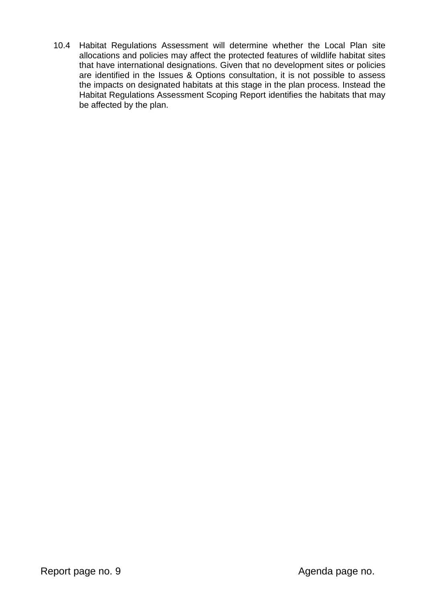10.4 Habitat Regulations Assessment will determine whether the Local Plan site allocations and policies may affect the protected features of wildlife habitat sites that have international designations. Given that no development sites or policies are identified in the Issues & Options consultation, it is not possible to assess the impacts on designated habitats at this stage in the plan process. Instead the Habitat Regulations Assessment Scoping Report identifies the habitats that may be affected by the plan.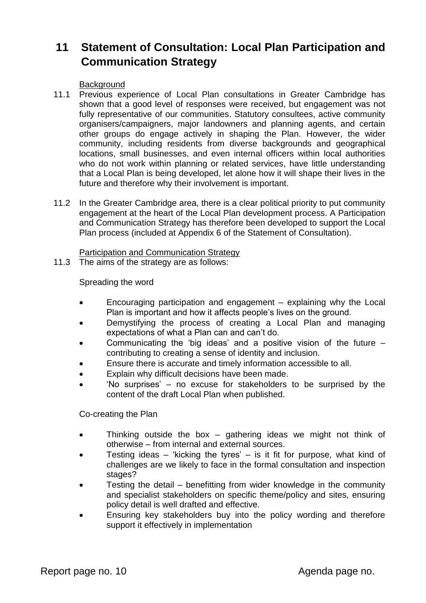# **11 Statement of Consultation: Local Plan Participation and Communication Strategy**

**Background** 

- 11.1 Previous experience of Local Plan consultations in Greater Cambridge has shown that a good level of responses were received, but engagement was not fully representative of our communities. Statutory consultees, active community organisers/campaigners, major landowners and planning agents, and certain other groups do engage actively in shaping the Plan. However, the wider community, including residents from diverse backgrounds and geographical locations, small businesses, and even internal officers within local authorities who do not work within planning or related services, have little understanding that a Local Plan is being developed, let alone how it will shape their lives in the future and therefore why their involvement is important.
- 11.2 In the Greater Cambridge area, there is a clear political priority to put community engagement at the heart of the Local Plan development process. A Participation and Communication Strategy has therefore been developed to support the Local Plan process (included at Appendix 6 of the Statement of Consultation).

Participation and Communication Strategy

11.3 The aims of the strategy are as follows:

Spreading the word

- Encouraging participation and engagement explaining why the Local Plan is important and how it affects people's lives on the ground.
- Demystifying the process of creating a Local Plan and managing expectations of what a Plan can and can't do.
- Communicating the 'big ideas' and a positive vision of the future contributing to creating a sense of identity and inclusion.
- Ensure there is accurate and timely information accessible to all.
- Explain why difficult decisions have been made.
- 'No surprises' no excuse for stakeholders to be surprised by the content of the draft Local Plan when published.

Co-creating the Plan

- Thinking outside the box gathering ideas we might not think of otherwise – from internal and external sources.
- Testing ideas 'kicking the tyres' is it fit for purpose, what kind of challenges are we likely to face in the formal consultation and inspection stages?
- Testing the detail benefitting from wider knowledge in the community and specialist stakeholders on specific theme/policy and sites, ensuring policy detail is well drafted and effective.
- Ensuring key stakeholders buy into the policy wording and therefore support it effectively in implementation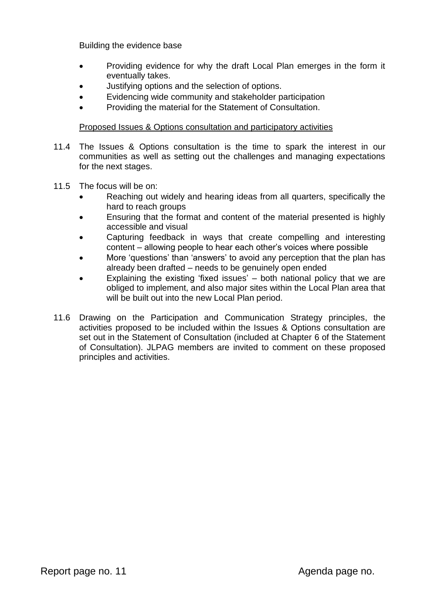Building the evidence base

- Providing evidence for why the draft Local Plan emerges in the form it eventually takes.
- Justifying options and the selection of options.
- Evidencing wide community and stakeholder participation
- Providing the material for the Statement of Consultation.

### Proposed Issues & Options consultation and participatory activities

- 11.4 The Issues & Options consultation is the time to spark the interest in our communities as well as setting out the challenges and managing expectations for the next stages.
- 11.5 The focus will be on:
	- Reaching out widely and hearing ideas from all quarters, specifically the hard to reach groups
	- Ensuring that the format and content of the material presented is highly accessible and visual
	- Capturing feedback in ways that create compelling and interesting content – allowing people to hear each other's voices where possible
	- More 'questions' than 'answers' to avoid any perception that the plan has already been drafted – needs to be genuinely open ended
	- Explaining the existing 'fixed issues' both national policy that we are obliged to implement, and also major sites within the Local Plan area that will be built out into the new Local Plan period.
- 11.6 Drawing on the Participation and Communication Strategy principles, the activities proposed to be included within the Issues & Options consultation are set out in the Statement of Consultation (included at Chapter 6 of the Statement of Consultation). JLPAG members are invited to comment on these proposed principles and activities.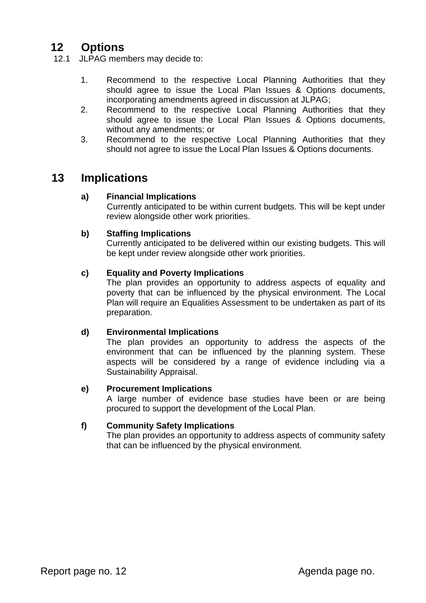# **12 Options**

12.1 JLPAG members may decide to:

- 1. Recommend to the respective Local Planning Authorities that they should agree to issue the Local Plan Issues & Options documents, incorporating amendments agreed in discussion at JLPAG;
- 2. Recommend to the respective Local Planning Authorities that they should agree to issue the Local Plan Issues & Options documents, without any amendments; or
- 3. Recommend to the respective Local Planning Authorities that they should not agree to issue the Local Plan Issues & Options documents.

## **13 Implications**

### **a) Financial Implications**

Currently anticipated to be within current budgets. This will be kept under review alongside other work priorities.

### **b) Staffing Implications**

Currently anticipated to be delivered within our existing budgets. This will be kept under review alongside other work priorities.

### **c) Equality and Poverty Implications**

The plan provides an opportunity to address aspects of equality and poverty that can be influenced by the physical environment. The Local Plan will require an Equalities Assessment to be undertaken as part of its preparation.

### **d) Environmental Implications**

The plan provides an opportunity to address the aspects of the environment that can be influenced by the planning system. These aspects will be considered by a range of evidence including via a Sustainability Appraisal.

#### **e) Procurement Implications**

A large number of evidence base studies have been or are being procured to support the development of the Local Plan.

### **f) Community Safety Implications**

The plan provides an opportunity to address aspects of community safety that can be influenced by the physical environment.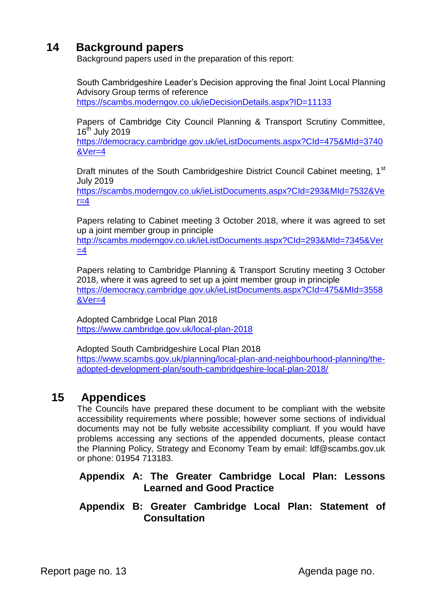## **14 Background papers**

Background papers used in the preparation of this report:

South Cambridgeshire Leader's Decision approving the final Joint Local Planning Advisory Group terms of reference <https://scambs.moderngov.co.uk/ieDecisionDetails.aspx?ID=11133>

Papers of Cambridge City Council Planning & Transport Scrutiny Committee,  $16<sup>th</sup>$  July 2019

[https://democracy.cambridge.gov.uk/ieListDocuments.aspx?CId=475&MId=3740](https://democracy.cambridge.gov.uk/ieListDocuments.aspx?CId=475&MId=3740&Ver=4) [&Ver=4](https://democracy.cambridge.gov.uk/ieListDocuments.aspx?CId=475&MId=3740&Ver=4)

Draft minutes of the South Cambridgeshire District Council Cabinet meeting, 1<sup>st</sup> July 2019

[https://scambs.moderngov.co.uk/ieListDocuments.aspx?CId=293&MId=7532&Ve](https://scambs.moderngov.co.uk/ieListDocuments.aspx?CId=293&MId=7532&Ver=4)  $r=4$ 

Papers relating to Cabinet meeting 3 October 2018, where it was agreed to set up a joint member group in principle

[http://scambs.moderngov.co.uk/ieListDocuments.aspx?CId=293&MId=7345&Ver](http://scambs.moderngov.co.uk/ieListDocuments.aspx?CId=293&MId=7345&Ver=4)  $=4$ 

Papers relating to Cambridge Planning & Transport Scrutiny meeting 3 October 2018, where it was agreed to set up a joint member group in principle [https://democracy.cambridge.gov.uk/ieListDocuments.aspx?CId=475&MId=3558](https://democracy.cambridge.gov.uk/ieListDocuments.aspx?CId=475&MId=3558&Ver=4) [&Ver=4](https://democracy.cambridge.gov.uk/ieListDocuments.aspx?CId=475&MId=3558&Ver=4)

Adopted Cambridge Local Plan 2018 <https://www.cambridge.gov.uk/local-plan-2018>

Adopted South Cambridgeshire Local Plan 2018 [https://www.scambs.gov.uk/planning/local-plan-and-neighbourhood-planning/the](https://www.scambs.gov.uk/planning/local-plan-and-neighbourhood-planning/the-adopted-development-plan/south-cambridgeshire-local-plan-2018/)[adopted-development-plan/south-cambridgeshire-local-plan-2018/](https://www.scambs.gov.uk/planning/local-plan-and-neighbourhood-planning/the-adopted-development-plan/south-cambridgeshire-local-plan-2018/)

## **15 Appendices**

The Councils have prepared these document to be compliant with the website accessibility requirements where possible; however some sections of individual documents may not be fully website accessibility compliant. If you would have problems accessing any sections of the appended documents, please contact the Planning Policy, Strategy and Economy Team by email: ldf@scambs.gov.uk or phone: 01954 713183.

### **Appendix A: The Greater Cambridge Local Plan: Lessons Learned and Good Practice**

### **Appendix B: Greater Cambridge Local Plan: Statement of Consultation**